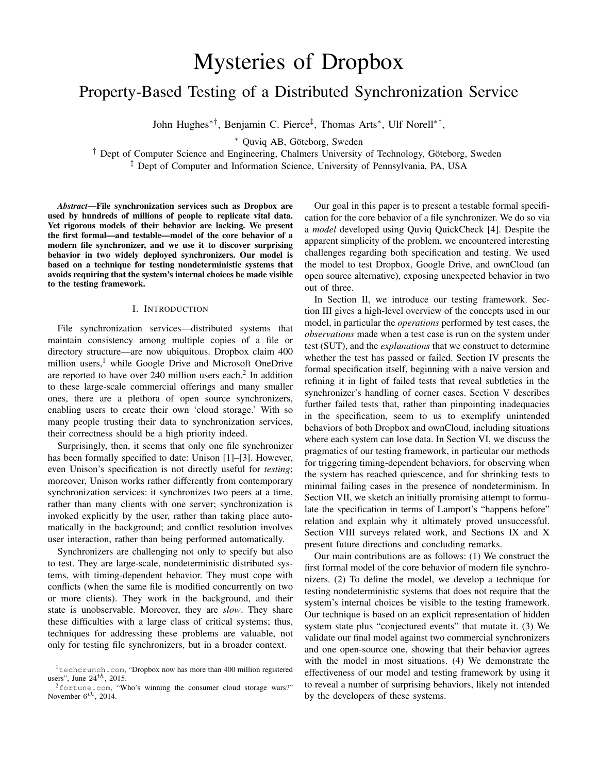# Mysteries of Dropbox

# Property-Based Testing of a Distributed Synchronization Service

John Hughes∗†, Benjamin C. Pierce‡ , Thomas Arts<sup>∗</sup> , Ulf Norell∗† ,

<sup>∗</sup> Quviq AB, Goteborg, Sweden ¨

 $\dagger$  Dept of Computer Science and Engineering, Chalmers University of Technology, Göteborg, Sweden ‡ Dept of Computer and Information Science, University of Pennsylvania, PA, USA

*Abstract*—File synchronization services such as Dropbox are used by hundreds of millions of people to replicate vital data. Yet rigorous models of their behavior are lacking. We present the first formal—and testable—model of the core behavior of a modern file synchronizer, and we use it to discover surprising behavior in two widely deployed synchronizers. Our model is based on a technique for testing nondeterministic systems that avoids requiring that the system's internal choices be made visible to the testing framework.

#### I. INTRODUCTION

File synchronization services—distributed systems that maintain consistency among multiple copies of a file or directory structure—are now ubiquitous. Dropbox claim 400 million users, $<sup>1</sup>$  $<sup>1</sup>$  $<sup>1</sup>$  while Google Drive and Microsoft OneDrive</sup> are reported to have over [2](#page-0-1)40 million users each.<sup>2</sup> In addition to these large-scale commercial offerings and many smaller ones, there are a plethora of open source synchronizers, enabling users to create their own 'cloud storage.' With so many people trusting their data to synchronization services, their correctness should be a high priority indeed.

Surprisingly, then, it seems that only one file synchronizer has been formally specified to date: Unison [\[1\]](#page-9-0)–[\[3\]](#page-10-0). However, even Unison's specification is not directly useful for *testing*; moreover, Unison works rather differently from contemporary synchronization services: it synchronizes two peers at a time, rather than many clients with one server; synchronization is invoked explicitly by the user, rather than taking place automatically in the background; and conflict resolution involves user interaction, rather than being performed automatically.

Synchronizers are challenging not only to specify but also to test. They are large-scale, nondeterministic distributed systems, with timing-dependent behavior. They must cope with conflicts (when the same file is modified concurrently on two or more clients). They work in the background, and their state is unobservable. Moreover, they are *slow*. They share these difficulties with a large class of critical systems; thus, techniques for addressing these problems are valuable, not only for testing file synchronizers, but in a broader context.

Our goal in this paper is to present a testable formal specification for the core behavior of a file synchronizer. We do so via a *model* developed using Quviq QuickCheck [\[4\]](#page-10-1). Despite the apparent simplicity of the problem, we encountered interesting challenges regarding both specification and testing. We used the model to test Dropbox, Google Drive, and ownCloud (an open source alternative), exposing unexpected behavior in two out of three.

In Section [II,](#page-1-0) we introduce our testing framework. Section [III](#page-1-1) gives a high-level overview of the concepts used in our model, in particular the *operations* performed by test cases, the *observations* made when a test case is run on the system under test (SUT), and the *explanations* that we construct to determine whether the test has passed or failed. Section [IV](#page-3-0) presents the formal specification itself, beginning with a naive version and refining it in light of failed tests that reveal subtleties in the synchronizer's handling of corner cases. Section [V](#page-5-0) describes further failed tests that, rather than pinpointing inadequacies in the specification, seem to us to exemplify unintended behaviors of both Dropbox and ownCloud, including situations where each system can lose data. In Section [VI,](#page-7-0) we discuss the pragmatics of our testing framework, in particular our methods for triggering timing-dependent behaviors, for observing when the system has reached quiescence, and for shrinking tests to minimal failing cases in the presence of nondeterminism. In Section [VII,](#page-7-1) we sketch an initially promising attempt to formulate the specification in terms of Lamport's "happens before" relation and explain why it ultimately proved unsuccessful. Section [VIII](#page-8-0) surveys related work, and Sections [IX](#page-9-1) and [X](#page-9-2) present future directions and concluding remarks.

Our main contributions are as follows: (1) We construct the first formal model of the core behavior of modern file synchronizers. (2) To define the model, we develop a technique for testing nondeterministic systems that does not require that the system's internal choices be visible to the testing framework. Our technique is based on an explicit representation of hidden system state plus "conjectured events" that mutate it. (3) We validate our final model against two commercial synchronizers and one open-source one, showing that their behavior agrees with the model in most situations. (4) We demonstrate the effectiveness of our model and testing framework by using it to reveal a number of surprising behaviors, likely not intended by the developers of these systems.

<span id="page-0-0"></span><sup>1</sup>techcrunch.com, "Dropbox now has more than 400 million registered users", June  $24^{th}$ , 2015.

<span id="page-0-1"></span><sup>&</sup>lt;sup>2</sup>fortune.com, "Who's winning the consumer cloud storage wars?" November  $6^{th}$ , 2014.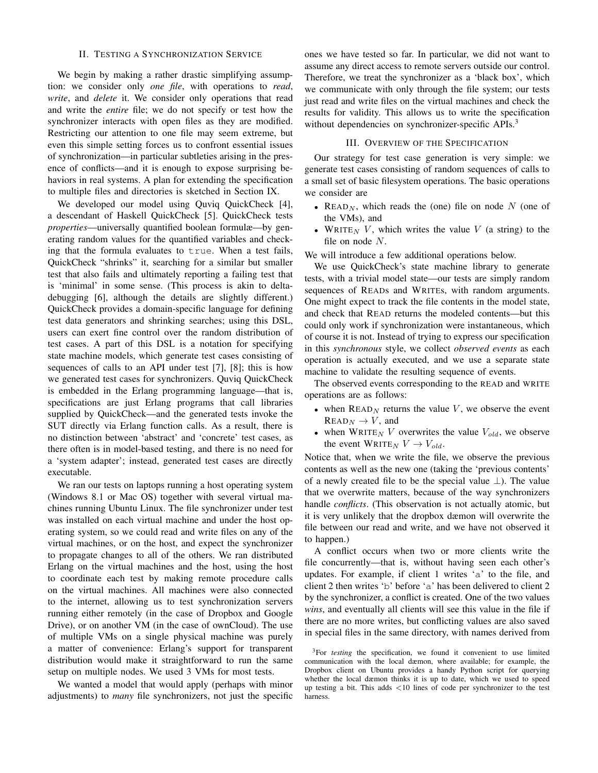# II. TESTING A SYNCHRONIZATION SERVICE

<span id="page-1-0"></span>We begin by making a rather drastic simplifying assumption: we consider only *one file*, with operations to *read*, *write*, and *delete* it. We consider only operations that read and write the *entire* file; we do not specify or test how the synchronizer interacts with open files as they are modified. Restricting our attention to one file may seem extreme, but even this simple setting forces us to confront essential issues of synchronization—in particular subtleties arising in the presence of conflicts—and it is enough to expose surprising behaviors in real systems. A plan for extending the specification to multiple files and directories is sketched in Section [IX.](#page-9-1)

We developed our model using Quviq QuickCheck [\[4\]](#page-10-1), a descendant of Haskell QuickCheck [\[5\]](#page-10-2). QuickCheck tests *properties*—universally quantified boolean formulæ—by generating random values for the quantified variables and checking that the formula evaluates to true. When a test fails, QuickCheck "shrinks" it, searching for a similar but smaller test that also fails and ultimately reporting a failing test that is 'minimal' in some sense. (This process is akin to deltadebugging [\[6\]](#page-10-3), although the details are slightly different.) QuickCheck provides a domain-specific language for defining test data generators and shrinking searches; using this DSL, users can exert fine control over the random distribution of test cases. A part of this DSL is a notation for specifying state machine models, which generate test cases consisting of sequences of calls to an API under test [\[7\]](#page-10-4), [\[8\]](#page-10-5); this is how we generated test cases for synchronizers. Quviq QuickCheck is embedded in the Erlang programming language—that is, specifications are just Erlang programs that call libraries supplied by QuickCheck—and the generated tests invoke the SUT directly via Erlang function calls. As a result, there is no distinction between 'abstract' and 'concrete' test cases, as there often is in model-based testing, and there is no need for a 'system adapter'; instead, generated test cases are directly executable.

We ran our tests on laptops running a host operating system (Windows 8.1 or Mac OS) together with several virtual machines running Ubuntu Linux. The file synchronizer under test was installed on each virtual machine and under the host operating system, so we could read and write files on any of the virtual machines, or on the host, and expect the synchronizer to propagate changes to all of the others. We ran distributed Erlang on the virtual machines and the host, using the host to coordinate each test by making remote procedure calls on the virtual machines. All machines were also connected to the internet, allowing us to test synchronization servers running either remotely (in the case of Dropbox and Google Drive), or on another VM (in the case of ownCloud). The use of multiple VMs on a single physical machine was purely a matter of convenience: Erlang's support for transparent distribution would make it straightforward to run the same setup on multiple nodes. We used 3 VMs for most tests.

We wanted a model that would apply (perhaps with minor adjustments) to *many* file synchronizers, not just the specific

ones we have tested so far. In particular, we did not want to assume any direct access to remote servers outside our control. Therefore, we treat the synchronizer as a 'black box', which we communicate with only through the file system; our tests just read and write files on the virtual machines and check the results for validity. This allows us to write the specification without dependencies on synchronizer-specific APIs.<sup>[3](#page-1-2)</sup>

### III. OVERVIEW OF THE SPECIFICATION

<span id="page-1-1"></span>Our strategy for test case generation is very simple: we generate test cases consisting of random sequences of calls to a small set of basic filesystem operations. The basic operations we consider are

- READ<sub>N</sub>, which reads the (one) file on node N (one of the VMs), and
- WRITE<sub>N</sub> V, which writes the value V (a string) to the file on node N.

We will introduce a few additional operations below.

We use QuickCheck's state machine library to generate tests, with a trivial model state—our tests are simply random sequences of READs and WRITEs, with random arguments. One might expect to track the file contents in the model state, and check that READ returns the modeled contents—but this could only work if synchronization were instantaneous, which of course it is not. Instead of trying to express our specification in this *synchronous* style, we collect *observed events* as each operation is actually executed, and we use a separate state machine to validate the resulting sequence of events.

The observed events corresponding to the READ and WRITE operations are as follows:

- when  $\text{READ}_N$  returns the value V, we observe the event  $\text{READ}_N \rightarrow V$ , and
- when  $WRITE_N V$  overwrites the value  $V_{old}$ , we observe the event  $\text{WRITE}_N V \rightarrow V_{old}$ .

Notice that, when we write the file, we observe the previous contents as well as the new one (taking the 'previous contents' of a newly created file to be the special value  $\perp$ ). The value that we overwrite matters, because of the way synchronizers handle *conflicts*. (This observation is not actually atomic, but it is very unlikely that the dropbox dæmon will overwrite the file between our read and write, and we have not observed it to happen.)

A conflict occurs when two or more clients write the file concurrently—that is, without having seen each other's updates. For example, if client 1 writes 'a' to the file, and client 2 then writes 'b' before 'a' has been delivered to client 2 by the synchronizer, a conflict is created. One of the two values *wins*, and eventually all clients will see this value in the file if there are no more writes, but conflicting values are also saved in special files in the same directory, with names derived from

<span id="page-1-2"></span><sup>3</sup>For *testing* the specification, we found it convenient to use limited communication with the local dæmon, where available; for example, the Dropbox client on Ubuntu provides a handy Python script for querying whether the local dæmon thinks it is up to date, which we used to speed up testing a bit. This adds  $\langle 10 \rangle$  lines of code per synchronizer to the test harness.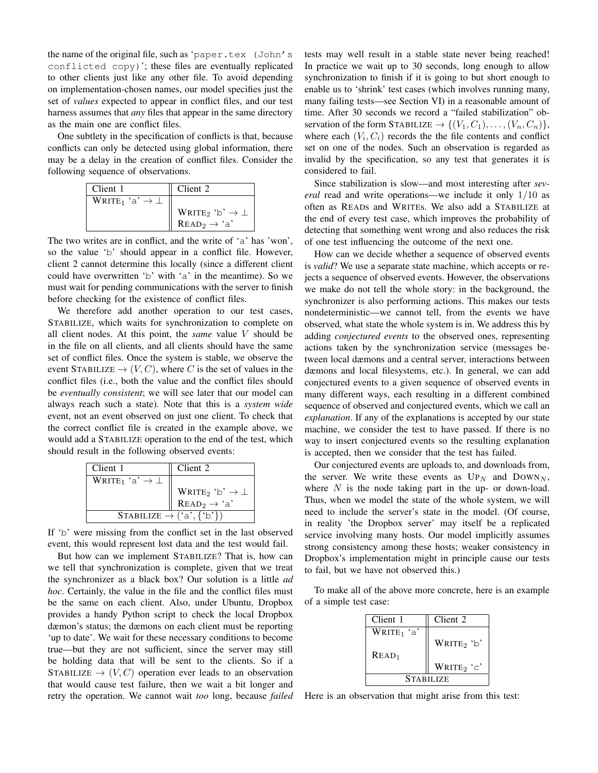the name of the original file, such as 'paper.tex (John's conflicted copy)'; these files are eventually replicated to other clients just like any other file. To avoid depending on implementation-chosen names, our model specifies just the set of *values* expected to appear in conflict files, and our test harness assumes that *any* files that appear in the same directory as the main one are conflict files.

One subtlety in the specification of conflicts is that, because conflicts can only be detected using global information, there may be a delay in the creation of conflict files. Consider the following sequence of observations.

| Client 1                                  | Client 2                                  |
|-------------------------------------------|-------------------------------------------|
| WRITE <sub>1</sub> 'a' $\rightarrow \bot$ |                                           |
|                                           | WRITE <sub>2</sub> 'b' $\rightarrow \bot$ |
|                                           | $READ_2 \rightarrow 'a'$                  |

The two writes are in conflict, and the write of 'a' has 'won', so the value 'b' should appear in a conflict file. However, client 2 cannot determine this locally (since a different client could have overwritten 'b' with 'a' in the meantime). So we must wait for pending communications with the server to finish before checking for the existence of conflict files.

We therefore add another operation to our test cases, STABILIZE, which waits for synchronization to complete on all client nodes. At this point, the *same* value V should be in the file on all clients, and all clients should have the same set of conflict files. Once the system is stable, we observe the event STABILIZE  $\rightarrow$   $(V, C)$ , where C is the set of values in the conflict files (i.e., both the value and the conflict files should be *eventually consistent*; we will see later that our model can always reach such a state). Note that this is a *system wide* event, not an event observed on just one client. To check that the correct conflict file is created in the example above, we would add a STABILIZE operation to the end of the test, which should result in the following observed events:

| Client 1                                  | Client 2                                  |
|-------------------------------------------|-------------------------------------------|
| WRITE <sub>1</sub> 'a' $\rightarrow \bot$ |                                           |
|                                           | WRITE <sub>2</sub> 'b' $\rightarrow \bot$ |
|                                           | $READ_2 \rightarrow 'a'$                  |
| STABILIZE $\rightarrow$ ('a', {'b'})      |                                           |

If 'b' were missing from the conflict set in the last observed event, this would represent lost data and the test would fail.

But how can we implement STABILIZE? That is, how can we tell that synchronization is complete, given that we treat the synchronizer as a black box? Our solution is a little *ad hoc*. Certainly, the value in the file and the conflict files must be the same on each client. Also, under Ubuntu, Dropbox provides a handy Python script to check the local Dropbox dæmon's status; the dæmons on each client must be reporting 'up to date'. We wait for these necessary conditions to become true—but they are not sufficient, since the server may still be holding data that will be sent to the clients. So if a STABILIZE  $\rightarrow$   $(V, C)$  operation ever leads to an observation that would cause test failure, then we wait a bit longer and retry the operation. We cannot wait *too* long, because *failed* tests may well result in a stable state never being reached! In practice we wait up to 30 seconds, long enough to allow synchronization to finish if it is going to but short enough to enable us to 'shrink' test cases (which involves running many, many failing tests—see Section [VI\)](#page-7-0) in a reasonable amount of time. After 30 seconds we record a "failed stabilization" observation of the form STABILIZE  $\rightarrow \{(V_1, C_1), \ldots, (V_n, C_n)\},$ where each  $(V_i, C_i)$  records the the file contents and conflict set on one of the nodes. Such an observation is regarded as invalid by the specification, so any test that generates it is considered to fail.

Since stabilization is slow—and most interesting after *several* read and write operations—we include it only 1/10 as often as READs and WRITEs. We also add a STABILIZE at the end of every test case, which improves the probability of detecting that something went wrong and also reduces the risk of one test influencing the outcome of the next one.

How can we decide whether a sequence of observed events is *valid*? We use a separate state machine, which accepts or rejects a sequence of observed events. However, the observations we make do not tell the whole story: in the background, the synchronizer is also performing actions. This makes our tests nondeterministic—we cannot tell, from the events we have observed, what state the whole system is in. We address this by adding *conjectured events* to the observed ones, representing actions taken by the synchronization service (messages between local dæmons and a central server, interactions between dæmons and local filesystems, etc.). In general, we can add conjectured events to a given sequence of observed events in many different ways, each resulting in a different combined sequence of observed and conjectured events, which we call an *explanation*. If any of the explanations is accepted by our state machine, we consider the test to have passed. If there is no way to insert conjectured events so the resulting explanation is accepted, then we consider that the test has failed.

Our conjectured events are uploads to, and downloads from, the server. We write these events as  $UP_N$  and  $Down_N$ , where  $N$  is the node taking part in the up- or down-load. Thus, when we model the state of the whole system, we will need to include the server's state in the model. (Of course, in reality 'the Dropbox server' may itself be a replicated service involving many hosts. Our model implicitly assumes strong consistency among these hosts; weaker consistency in Dropbox's implementation might in principle cause our tests to fail, but we have not observed this.)

To make all of the above more concrete, here is an example of a simple test case:

| Client 1          | Client 2               |
|-------------------|------------------------|
| $WRITE_1$ 'a'     |                        |
|                   | $WRITE2$ 'b'           |
| READ <sub>1</sub> |                        |
|                   | WRITE <sub>2</sub> $c$ |
| <b>STABILIZE</b>  |                        |

Here is an observation that might arise from this test: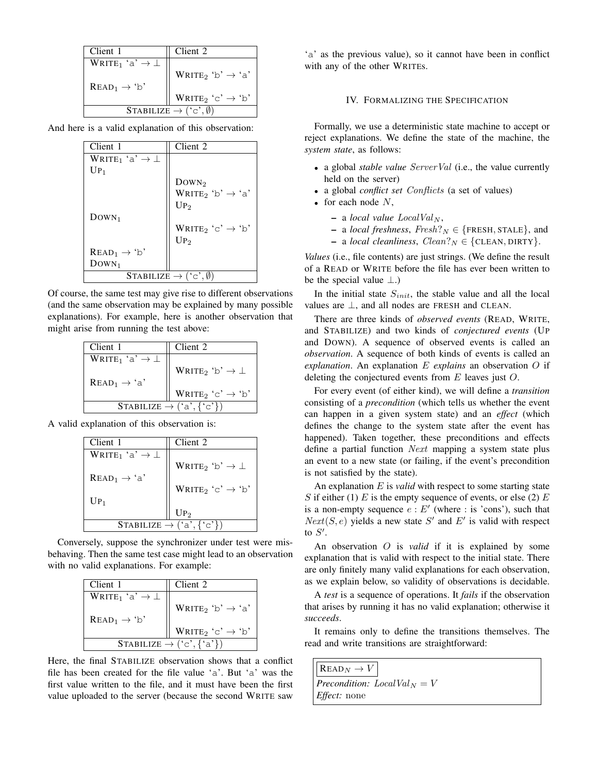| Client 1                                  | Client 2                                 |
|-------------------------------------------|------------------------------------------|
| WRITE <sub>1</sub> 'a' $\rightarrow \bot$ |                                          |
|                                           | WRITE <sub>2</sub> 'b' $\rightarrow$ 'a' |
| $\text{READ}_1 \rightarrow \text{'b'}$    |                                          |
|                                           | WRITE <sub>2</sub> 'c' $\rightarrow$ 'b' |
|                                           | STABILIZE $\rightarrow$ ('c', Ø)         |

And here is a valid explanation of this observation:

| Client 1                                  | Client 2                                 |
|-------------------------------------------|------------------------------------------|
| WRITE <sub>1</sub> 'a' $\rightarrow \bot$ |                                          |
| $UP_1$                                    |                                          |
|                                           | $Down_2$                                 |
|                                           | WRITE <sub>2</sub> 'b' $\rightarrow$ 'a' |
|                                           | Up <sub>2</sub>                          |
| $Down_1$                                  |                                          |
|                                           | WRITE <sub>2</sub> 'c' $\rightarrow$ 'b' |
|                                           | Up <sub>2</sub>                          |
| $\text{READ}_1 \rightarrow \text{'b'}$    |                                          |
| $Down_1$                                  |                                          |
|                                           | STABILIZE $\rightarrow$ ('c', Ø)         |

Of course, the same test may give rise to different observations (and the same observation may be explained by many possible explanations). For example, here is another observation that might arise from running the test above:

| Client 1                                  | Client 2                                  |
|-------------------------------------------|-------------------------------------------|
| WRITE <sub>1</sub> 'a' $\rightarrow \bot$ |                                           |
|                                           | WRITE <sub>2</sub> 'b' $\rightarrow \bot$ |
| $READ_1 \rightarrow 'a'$                  |                                           |
|                                           | WRITE <sub>2</sub> 'c' $\rightarrow$ 'b'  |
| STABILIZE $\rightarrow$ ('a', {'c'})      |                                           |

A valid explanation of this observation is:

| Client 1                                  | Client 2                                  |
|-------------------------------------------|-------------------------------------------|
| WRITE <sub>1</sub> 'a' $\rightarrow \bot$ |                                           |
|                                           | WRITE <sub>2</sub> 'b' $\rightarrow \bot$ |
| $READ_1 \rightarrow 'a'$                  |                                           |
|                                           | WRITE <sub>2</sub> 'c' $\rightarrow$ 'b'  |
| $UP_1$                                    |                                           |
|                                           | UP <sub>2</sub>                           |
|                                           | STABILIZE $\rightarrow$ ('a', {'c'})      |

Conversely, suppose the synchronizer under test were misbehaving. Then the same test case might lead to an observation with no valid explanations. For example:

| Client 1                                  | Client 2                                 |
|-------------------------------------------|------------------------------------------|
| WRITE <sub>1</sub> 'a' $\rightarrow \bot$ |                                          |
|                                           | WRITE <sub>2</sub> 'b' $\rightarrow$ 'a' |
| $READ_1 \rightarrow 'b'$                  |                                          |
|                                           | WRITE <sub>2</sub> 'c' $\rightarrow$ 'b' |
|                                           | STABILIZE $\rightarrow$ ('c', {'a'})     |

Here, the final STABILIZE observation shows that a conflict file has been created for the file value 'a'. But 'a' was the first value written to the file, and it must have been the first value uploaded to the server (because the second WRITE saw

'a' as the previous value), so it cannot have been in conflict with any of the other WRITEs.

# IV. FORMALIZING THE SPECIFICATION

<span id="page-3-0"></span>Formally, we use a deterministic state machine to accept or reject explanations. We define the state of the machine, the *system state*, as follows:

- a global *stable value* ServerVal (i.e., the value currently held on the server)
- a global *conflict set* Conflicts (a set of values)
- for each node  $N$ ,
	- $-$  a *local value* LocalVal<sub>N</sub>,
	- $− a local freshness, Fresh?$ <sub>N</sub> ∈ {FRESH, STALE}, and
	- $− a local clean liness, Clean?<sub>N</sub> ∈ {CLEAN, DIRTY}.$

*Values* (i.e., file contents) are just strings. (We define the result of a READ or WRITE before the file has ever been written to be the special value  $\perp$ .)

In the initial state  $S_{init}$ , the stable value and all the local values are ⊥, and all nodes are FRESH and CLEAN.

There are three kinds of *observed events* (READ, WRITE, and STABILIZE) and two kinds of *conjectured events* (UP and DOWN). A sequence of observed events is called an *observation*. A sequence of both kinds of events is called an *explanation*. An explanation E *explains* an observation O if deleting the conjectured events from  $E$  leaves just  $O$ .

For every event (of either kind), we will define a *transition* consisting of a *precondition* (which tells us whether the event can happen in a given system state) and an *effect* (which defines the change to the system state after the event has happened). Taken together, these preconditions and effects define a partial function Next mapping a system state plus an event to a new state (or failing, if the event's precondition is not satisfied by the state).

An explanation E is *valid* with respect to some starting state S if either (1) E is the empty sequence of events, or else (2)  $E$ is a non-empty sequence  $e : E'$  (where : is 'cons'), such that  $Next(S, e)$  yields a new state S' and E' is valid with respect to  $S'$ .

An observation O is *valid* if it is explained by some explanation that is valid with respect to the initial state. There are only finitely many valid explanations for each observation, as we explain below, so validity of observations is decidable.

A *test* is a sequence of operations. It *fails* if the observation that arises by running it has no valid explanation; otherwise it *succeeds*.

It remains only to define the transitions themselves. The read and write transitions are straightforward:

 $\text{READ}_N \rightarrow V$ *Precondition:*  $LocalVal_N = V$ *Effect:* none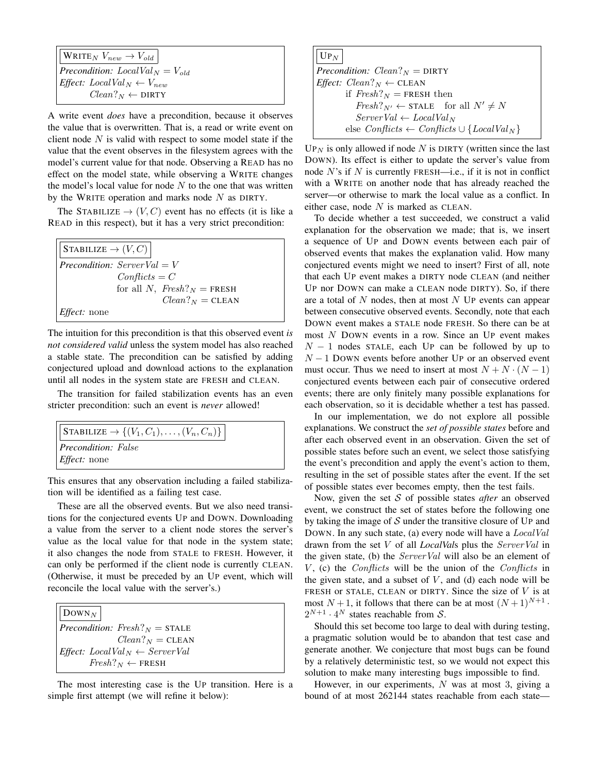| WRITE <sub>N</sub> $V_{new} \rightarrow V_{old}$                   |  |
|--------------------------------------------------------------------|--|
| Precondition: $LocalVal_N = V_{old}$                               |  |
| <i>Effect:</i> LocalVal <sub>N</sub> $\leftarrow$ V <sub>new</sub> |  |
| $Clear?_{N} \leftarrow$ DIRTY                                      |  |

A write event *does* have a precondition, because it observes the value that is overwritten. That is, a read or write event on client node  $N$  is valid with respect to some model state if the value that the event observes in the filesystem agrees with the model's current value for that node. Observing a READ has no effect on the model state, while observing a WRITE changes the model's local value for node  $N$  to the one that was written by the WRITE operation and marks node  $N$  as DIRTY.

The STABILIZE  $\rightarrow$   $(V, C)$  event has no effects (it is like a READ in this respect), but it has a very strict precondition:

| $  $ Stabilize $\rightarrow$ $(V,C)$ |
|--------------------------------------|
| $Precondition: ServerVal = V$        |
| $Conflicts = C$                      |
| for all N, $Fresh?_N$ = FRESH        |
| $Clear?_N$ = CLEAN                   |
| <i>Effect:</i> none                  |

The intuition for this precondition is that this observed event *is not considered valid* unless the system model has also reached a stable state. The precondition can be satisfied by adding conjectured upload and download actions to the explanation until all nodes in the system state are FRESH and CLEAN.

The transition for failed stabilization events has an even stricter precondition: such an event is *never* allowed!

| $\big \operatorname{STABILITY} \to \{(V_1, C_1), \ldots, (V_n, C_n)\}\big $ |  |
|-----------------------------------------------------------------------------|--|
| <b>Precondition:</b> False                                                  |  |
| <i>Effect:</i> none                                                         |  |

This ensures that any observation including a failed stabilization will be identified as a failing test case.

These are all the observed events. But we also need transitions for the conjectured events UP and DOWN. Downloading a value from the server to a client node stores the server's value as the local value for that node in the system state; it also changes the node from STALE to FRESH. However, it can only be performed if the client node is currently CLEAN. (Otherwise, it must be preceded by an UP event, which will reconcile the local value with the server's.)

| $Down_N$                                         |
|--------------------------------------------------|
| <i>Precondition: Fresh</i> ? $_N =$ STALE        |
| $Clear?_N$ = CLEAN                               |
| <i>Effect:</i> $LocalVal_N \leftarrow ServerVal$ |
| $Fresh?_N \leftarrow FRESH$                      |

The most interesting case is the UP transition. Here is a simple first attempt (we will refine it below):

| $UP_N$                                                    |  |
|-----------------------------------------------------------|--|
| <i>Precondition: Clean</i> ? $_N =$ DIRTY                 |  |
| <i>Effect:</i> $Clear?_N \leftarrow \text{CLEAN}$         |  |
| if $Fresh?_N$ = FRESH then                                |  |
| $Fresh?_{N'} \leftarrow$ STALE for all $N' \neq N$        |  |
| $ServerVal \leftarrow LocalVal_N$                         |  |
| else $Conflicts \leftarrow Conflicts \cup \{LocalVal_N\}$ |  |

 $UP<sub>N</sub>$  is only allowed if node N is DIRTY (written since the last DOWN). Its effect is either to update the server's value from node  $N$ 's if  $N$  is currently FRESH—i.e., if it is not in conflict with a WRITE on another node that has already reached the server—or otherwise to mark the local value as a conflict. In either case, node  $N$  is marked as CLEAN.

To decide whether a test succeeded, we construct a valid explanation for the observation we made; that is, we insert a sequence of UP and DOWN events between each pair of observed events that makes the explanation valid. How many conjectured events might we need to insert? First of all, note that each UP event makes a DIRTY node CLEAN (and neither UP nor DOWN can make a CLEAN node DIRTY). So, if there are a total of  $N$  nodes, then at most  $N$  UP events can appear between consecutive observed events. Secondly, note that each DOWN event makes a STALE node FRESH. So there can be at most N DOWN events in a row. Since an UP event makes  $N-1$  nodes STALE, each UP can be followed by up to  $N-1$  DOWN events before another UP or an observed event must occur. Thus we need to insert at most  $N + N \cdot (N - 1)$ conjectured events between each pair of consecutive ordered events; there are only finitely many possible explanations for each observation, so it is decidable whether a test has passed.

In our implementation, we do not explore all possible explanations. We construct the *set of possible states* before and after each observed event in an observation. Given the set of possible states before such an event, we select those satisfying the event's precondition and apply the event's action to them, resulting in the set of possible states after the event. If the set of possible states ever becomes empty, then the test fails.

Now, given the set S of possible states *after* an observed event, we construct the set of states before the following one by taking the image of  $S$  under the transitive closure of UP and DOWN. In any such state, (a) every node will have a  $LocalVal$ drawn from the set V of all *LocalVal*s plus the ServerVal in the given state, (b) the  $ServerVal$  will also be an element of  $V$ , (c) the *Conflicts* will be the union of the *Conflicts* in the given state, and a subset of  $V$ , and (d) each node will be FRESH or STALE, CLEAN or DIRTY. Since the size of  $V$  is at most  $N+1$ , it follows that there can be at most  $(N+1)^{N+1}$ .  $2^{N+1} \cdot 4^N$  states reachable from S.

Should this set become too large to deal with during testing, a pragmatic solution would be to abandon that test case and generate another. We conjecture that most bugs can be found by a relatively deterministic test, so we would not expect this solution to make many interesting bugs impossible to find.

However, in our experiments,  $N$  was at most 3, giving a bound of at most 262144 states reachable from each state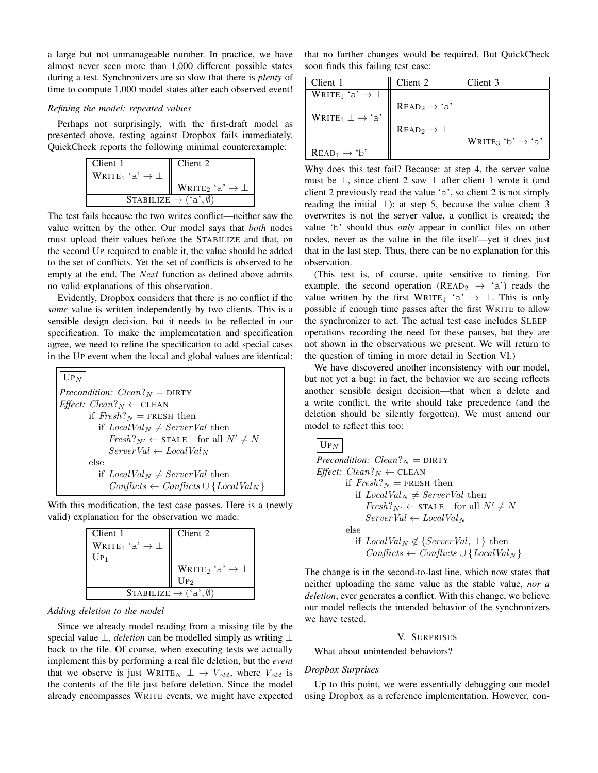a large but not unmanageable number. In practice, we have almost never seen more than 1,000 different possible states during a test. Synchronizers are so slow that there is *plenty* of time to compute 1,000 model states after each observed event!

# *Refining the model: repeated values*

Perhaps not surprisingly, with the first-draft model as presented above, testing against Dropbox fails immediately. QuickCheck reports the following minimal counterexample:

| Client 1                                    | Client 2                                  |
|---------------------------------------------|-------------------------------------------|
| WRITE <sub>1</sub> 'a' $\rightarrow \bot$   |                                           |
|                                             | WRITE <sub>2</sub> 'a' $\rightarrow \bot$ |
| STABILIZE $\rightarrow$ ('a', $\emptyset$ ) |                                           |

The test fails because the two writes conflict—neither saw the value written by the other. Our model says that *both* nodes must upload their values before the STABILIZE and that, on the second UP required to enable it, the value should be added to the set of conflicts. Yet the set of conflicts is observed to be empty at the end. The Next function as defined above admits no valid explanations of this observation.

Evidently, Dropbox considers that there is no conflict if the *same* value is written independently by two clients. This is a sensible design decision, but it needs to be reflected in our specification. To make the implementation and specification agree, we need to refine the specification to add special cases in the UP event when the local and global values are identical:

With this modification, the test case passes. Here is a (newly valid) explanation for the observation we made:

| Client 1                                    | Client 2                                  |
|---------------------------------------------|-------------------------------------------|
| WRITE <sub>1</sub> 'a' $\rightarrow \bot$   |                                           |
| $UP_1$                                      |                                           |
|                                             | WRITE <sub>2</sub> 'a' $\rightarrow \bot$ |
|                                             | Up <sub>2</sub>                           |
| STABILIZE $\rightarrow$ ('a', $\emptyset$ ) |                                           |

## *Adding deletion to the model*

Since we already model reading from a missing file by the special value ⊥, *deletion* can be modelled simply as writing ⊥ back to the file. Of course, when executing tests we actually implement this by performing a real file deletion, but the *event* that we observe is just WRITE<sub>N</sub>  $\perp \rightarrow V_{old}$ , where  $V_{old}$  is the contents of the file just before deletion. Since the model already encompasses WRITE events, we might have expected that no further changes would be required. But QuickCheck soon finds this failing test case:

| Client 1                                   | Client 2                         | Client 3                                 |
|--------------------------------------------|----------------------------------|------------------------------------------|
| $\text{WRITE}_1$ 'a' $\rightarrow \bot$    |                                  |                                          |
|                                            | $\text{READ}_2 \rightarrow 'a'$  |                                          |
| WRITE <sub>1</sub> $\perp \rightarrow 'a'$ |                                  |                                          |
|                                            | $\text{READ}_2 \rightarrow \bot$ |                                          |
|                                            |                                  | WRITE <sub>3</sub> 'b' $\rightarrow$ 'a' |
| $RED_1 \rightarrow 'b'$                    |                                  |                                          |

Why does this test fail? Because: at step 4, the server value must be  $\perp$ , since client 2 saw  $\perp$  after client 1 wrote it (and client 2 previously read the value 'a', so client 2 is not simply reading the initial  $\perp$ ); at step 5, because the value client 3 overwrites is not the server value, a conflict is created; the value 'b' should thus *only* appear in conflict files on other nodes, never as the value in the file itself—yet it does just that in the last step. Thus, there can be no explanation for this observation.

(This test is, of course, quite sensitive to timing. For example, the second operation (READ<sub>2</sub>  $\rightarrow$  'a') reads the value written by the first WRITE<sub>1</sub> 'a'  $\rightarrow \perp$ . This is only possible if enough time passes after the first WRITE to allow the synchronizer to act. The actual test case includes SLEEP operations recording the need for these pauses, but they are not shown in the observations we present. We will return to the question of timing in more detail in Section [VI.](#page-7-0))

We have discovered another inconsistency with our model, but not yet a bug: in fact, the behavior we are seeing reflects another sensible design decision—that when a delete and a write conflict, the write should take precedence (and the deletion should be silently forgotten). We must amend our model to reflect this too:

| $UP_N$                                               |
|------------------------------------------------------|
| <i>Precondition:</i> $Clear?_N = DIRTY$              |
| <i>Effect:</i> $Clear?_N \leftarrow$ CLEAN           |
| if $Fresh?_{N}$ = FRESH then                         |
| if $LocalVal_N \neq ServerVal$ then                  |
| $Fresh?_{N'} \leftarrow$ STALE for all $N' \neq N$   |
| $ServerVal \leftarrow LocalVal_N$                    |
| else                                                 |
| if $LocalVal_N \notin \{ServerVal, \perp\}$ then     |
| $Conflicts \leftarrow Conflicts \cup \{LocalVal_N\}$ |

The change is in the second-to-last line, which now states that neither uploading the same value as the stable value, *nor a deletion*, ever generates a conflict. With this change, we believe our model reflects the intended behavior of the synchronizers we have tested.

# V. SURPRISES

<span id="page-5-0"></span>What about unintended behaviors?

# *Dropbox Surprises*

Up to this point, we were essentially debugging our model using Dropbox as a reference implementation. However, con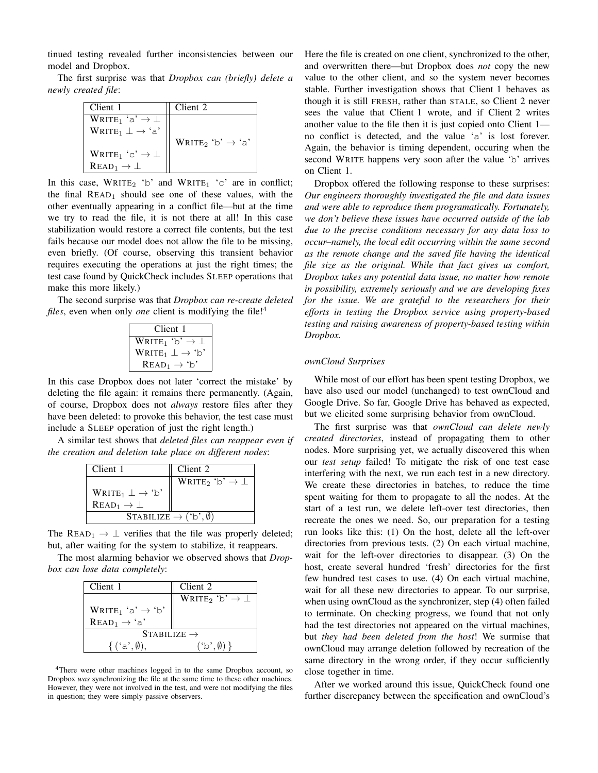tinued testing revealed further inconsistencies between our model and Dropbox.

The first surprise was that *Dropbox can (briefly) delete a newly created file*:

| Client 1                                   | Client 2                                 |
|--------------------------------------------|------------------------------------------|
| WRITE <sub>1</sub> 'a' $\rightarrow \bot$  |                                          |
| WRITE <sub>1</sub> $\perp \rightarrow 'a'$ |                                          |
|                                            | WRITE <sub>2</sub> 'b' $\rightarrow$ 'a' |
| WRITE <sub>1</sub> 'c' $\rightarrow \bot$  |                                          |
| $\text{READ}_1 \rightarrow \perp$          |                                          |

In this case,  $WRITE_2$  'b' and  $WRITE_1$  'c' are in conflict; the final  $READ<sub>1</sub>$  should see one of these values, with the other eventually appearing in a conflict file—but at the time we try to read the file, it is not there at all! In this case stabilization would restore a correct file contents, but the test fails because our model does not allow the file to be missing, even briefly. (Of course, observing this transient behavior requires executing the operations at just the right times; the test case found by QuickCheck includes SLEEP operations that make this more likely.)

The second surprise was that *Dropbox can re-create deleted files*, even when only *one* client is modifying the file!<sup>[4](#page-6-0)</sup>

| Client 1                                      |
|-----------------------------------------------|
| $W$ rite <sub>1</sub> 'b'                     |
| $\text{WRITE}_1 \perp \rightarrow \text{'b'}$ |
| $RED_1 \rightarrow 'b'$                       |

In this case Dropbox does not later 'correct the mistake' by deleting the file again: it remains there permanently. (Again, of course, Dropbox does not *always* restore files after they have been deleted: to provoke this behavior, the test case must include a SLEEP operation of just the right length.)

A similar test shows that *deleted files can reappear even if the creation and deletion take place on different nodes*:

| Client 1                                      | Client 2                                  |
|-----------------------------------------------|-------------------------------------------|
|                                               | Write <sub>2</sub> 'b' $\rightarrow \bot$ |
| $W$ RITE <sub>1</sub> $\perp \rightarrow 'b'$ |                                           |
| $\text{READ}_1 \rightarrow \perp$             |                                           |
| STABILIZE $\rightarrow$ ('b', $\emptyset$ )   |                                           |

The READ<sub>1</sub>  $\rightarrow \perp$  verifies that the file was properly deleted; but, after waiting for the system to stabilize, it reappears.

The most alarming behavior we observed shows that *Dropbox can lose data completely*:

| Client 1                                 | Client 2                                  |
|------------------------------------------|-------------------------------------------|
|                                          | WRITE <sub>2</sub> 'b' $\rightarrow \bot$ |
| WRITE <sub>1</sub> 'a' $\rightarrow$ 'b' |                                           |
| $READ_1 \rightarrow 'a'$                 |                                           |
| $STABILITYE \rightarrow$                 |                                           |
| ${ (a', \emptyset),$                     | $('b', \emptyset)$ }                      |

<span id="page-6-0"></span><sup>4</sup>There were other machines logged in to the same Dropbox account, so Dropbox *was* synchronizing the file at the same time to these other machines. However, they were not involved in the test, and were not modifying the files in question; they were simply passive observers.

Here the file is created on one client, synchronized to the other, and overwritten there—but Dropbox does *not* copy the new value to the other client, and so the system never becomes stable. Further investigation shows that Client 1 behaves as though it is still FRESH, rather than STALE, so Client 2 never sees the value that Client 1 wrote, and if Client 2 writes another value to the file then it is just copied onto Client 1 no conflict is detected, and the value 'a' is lost forever. Again, the behavior is timing dependent, occuring when the second WRITE happens very soon after the value 'b' arrives on Client 1.

Dropbox offered the following response to these surprises: *Our engineers thoroughly investigated the file and data issues and were able to reproduce them programatically. Fortunately, we don't believe these issues have occurred outside of the lab due to the precise conditions necessary for any data loss to occur–namely, the local edit occurring within the same second as the remote change and the saved file having the identical file size as the original. While that fact gives us comfort, Dropbox takes any potential data issue, no matter how remote in possibility, extremely seriously and we are developing fixes for the issue. We are grateful to the researchers for their efforts in testing the Dropbox service using property-based testing and raising awareness of property-based testing within Dropbox.*

# *ownCloud Surprises*

While most of our effort has been spent testing Dropbox, we have also used our model (unchanged) to test ownCloud and Google Drive. So far, Google Drive has behaved as expected, but we elicited some surprising behavior from ownCloud.

The first surprise was that *ownCloud can delete newly created directories*, instead of propagating them to other nodes. More surprising yet, we actually discovered this when our *test setup* failed! To mitigate the risk of one test case interfering with the next, we run each test in a new directory. We create these directories in batches, to reduce the time spent waiting for them to propagate to all the nodes. At the start of a test run, we delete left-over test directories, then recreate the ones we need. So, our preparation for a testing run looks like this: (1) On the host, delete all the left-over directories from previous tests. (2) On each virtual machine, wait for the left-over directories to disappear. (3) On the host, create several hundred 'fresh' directories for the first few hundred test cases to use. (4) On each virtual machine, wait for all these new directories to appear. To our surprise, when using ownCloud as the synchronizer, step (4) often failed to terminate. On checking progress, we found that not only had the test directories not appeared on the virtual machines, but *they had been deleted from the host*! We surmise that ownCloud may arrange deletion followed by recreation of the same directory in the wrong order, if they occur sufficiently close together in time.

After we worked around this issue, QuickCheck found one further discrepancy between the specification and ownCloud's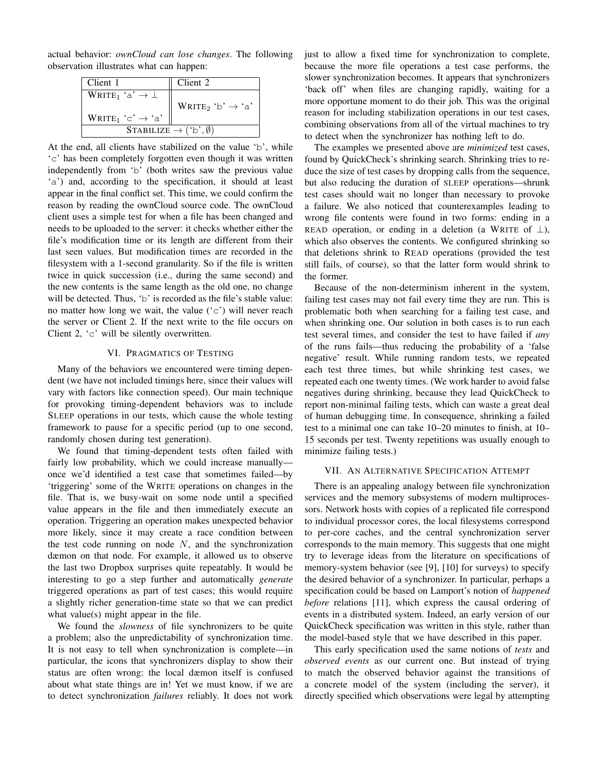actual behavior: *ownCloud can lose changes*. The following observation illustrates what can happen:

| Client 1                                    | Client 2                                 |
|---------------------------------------------|------------------------------------------|
| WRITE <sub>1</sub> 'a' $\rightarrow \bot$   |                                          |
|                                             | WRITE <sub>2</sub> 'b' $\rightarrow$ 'a' |
| WRITE <sub>1</sub> 'c' $\rightarrow$ 'a'    |                                          |
| STABILIZE $\rightarrow$ ('b', $\emptyset$ ) |                                          |

At the end, all clients have stabilized on the value 'b', while 'c' has been completely forgotten even though it was written independently from 'b' (both writes saw the previous value 'a') and, according to the specification, it should at least appear in the final conflict set. This time, we could confirm the reason by reading the ownCloud source code. The ownCloud client uses a simple test for when a file has been changed and needs to be uploaded to the server: it checks whether either the file's modification time or its length are different from their last seen values. But modification times are recorded in the filesystem with a 1-second granularity. So if the file is written twice in quick succession (i.e., during the same second) and the new contents is the same length as the old one, no change will be detected. Thus, 'b' is recorded as the file's stable value: no matter how long we wait, the value ('c') will never reach the server or Client 2. If the next write to the file occurs on Client 2, 'c' will be silently overwritten.

### VI. PRAGMATICS OF TESTING

<span id="page-7-0"></span>Many of the behaviors we encountered were timing dependent (we have not included timings here, since their values will vary with factors like connection speed). Our main technique for provoking timing-dependent behaviors was to include SLEEP operations in our tests, which cause the whole testing framework to pause for a specific period (up to one second, randomly chosen during test generation).

We found that timing-dependent tests often failed with fairly low probability, which we could increase manually once we'd identified a test case that sometimes failed—by 'triggering' some of the WRITE operations on changes in the file. That is, we busy-wait on some node until a specified value appears in the file and then immediately execute an operation. Triggering an operation makes unexpected behavior more likely, since it may create a race condition between the test code running on node  $N$ , and the synchronization dæmon on that node. For example, it allowed us to observe the last two Dropbox surprises quite repeatably. It would be interesting to go a step further and automatically *generate* triggered operations as part of test cases; this would require a slightly richer generation-time state so that we can predict what value(s) might appear in the file.

We found the *slowness* of file synchronizers to be quite a problem; also the unpredictability of synchronization time. It is not easy to tell when synchronization is complete—in particular, the icons that synchronizers display to show their status are often wrong: the local dæmon itself is confused about what state things are in! Yet we must know, if we are to detect synchronization *failures* reliably. It does not work

just to allow a fixed time for synchronization to complete, because the more file operations a test case performs, the slower synchronization becomes. It appears that synchronizers 'back off' when files are changing rapidly, waiting for a more opportune moment to do their job. This was the original reason for including stabilization operations in our test cases, combining observations from all of the virtual machines to try to detect when the synchronizer has nothing left to do.

The examples we presented above are *minimized* test cases, found by QuickCheck's shrinking search. Shrinking tries to reduce the size of test cases by dropping calls from the sequence, but also reducing the duration of SLEEP operations—shrunk test cases should wait no longer than necessary to provoke a failure. We also noticed that counterexamples leading to wrong file contents were found in two forms: ending in a READ operation, or ending in a deletion (a WRITE of  $\perp$ ), which also observes the contents. We configured shrinking so that deletions shrink to READ operations (provided the test still fails, of course), so that the latter form would shrink to the former.

Because of the non-determinism inherent in the system, failing test cases may not fail every time they are run. This is problematic both when searching for a failing test case, and when shrinking one. Our solution in both cases is to run each test several times, and consider the test to have failed if *any* of the runs fails—thus reducing the probability of a 'false negative' result. While running random tests, we repeated each test three times, but while shrinking test cases, we repeated each one twenty times. (We work harder to avoid false negatives during shrinking, because they lead QuickCheck to report non-minimal failing tests, which can waste a great deal of human debugging time. In consequence, shrinking a failed test to a minimal one can take 10–20 minutes to finish, at 10– 15 seconds per test. Twenty repetitions was usually enough to minimize failing tests.)

# VII. AN ALTERNATIVE SPECIFICATION ATTEMPT

<span id="page-7-1"></span>There is an appealing analogy between file synchronization services and the memory subsystems of modern multiprocessors. Network hosts with copies of a replicated file correspond to individual processor cores, the local filesystems correspond to per-core caches, and the central synchronization server corresponds to the main memory. This suggests that one might try to leverage ideas from the literature on specifications of memory-system behavior (see [\[9\]](#page-10-6), [\[10\]](#page-10-7) for surveys) to specify the desired behavior of a synchronizer. In particular, perhaps a specification could be based on Lamport's notion of *happened before* relations [\[11\]](#page-10-8), which express the causal ordering of events in a distributed system. Indeed, an early version of our QuickCheck specification was written in this style, rather than the model-based style that we have described in this paper.

This early specification used the same notions of *tests* and *observed events* as our current one. But instead of trying to match the observed behavior against the transitions of a concrete model of the system (including the server), it directly specified which observations were legal by attempting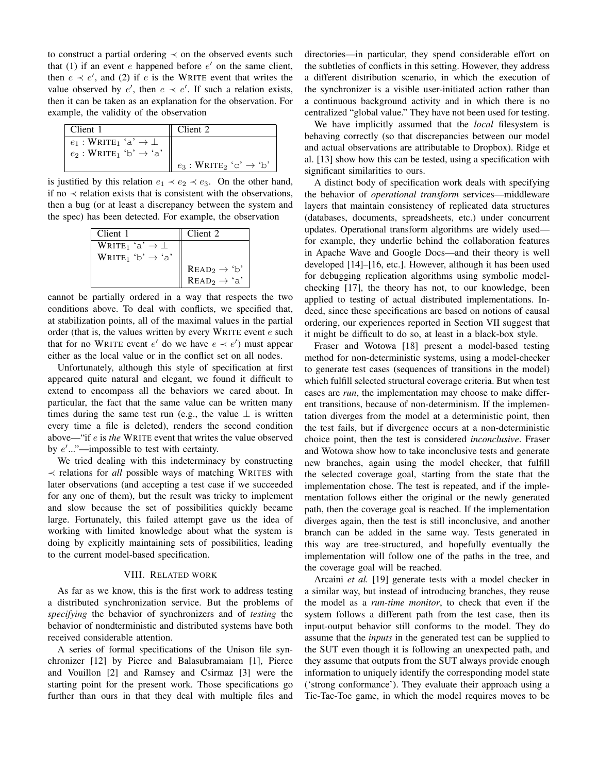to construct a partial ordering  $\prec$  on the observed events such that (1) if an event  $e$  happened before  $e'$  on the same client, then  $e \prec e'$ , and (2) if e is the WRITE event that writes the value observed by e', then  $e \prec e'$ . If such a relation exists, then it can be taken as an explanation for the observation. For example, the validity of the observation

| Client 1                                           | Client 2                                         |
|----------------------------------------------------|--------------------------------------------------|
| $e_1: \text{WRITE}_1 \text{ 'a'} \rightarrow \bot$ |                                                  |
| $e_2: W$ RITE <sub>1</sub> 'b' $\rightarrow$ 'a'   |                                                  |
|                                                    | $e_3: W$ RITE <sub>2</sub> 'c' $\rightarrow$ 'b' |

is justified by this relation  $e_1 \prec e_2 \prec e_3$ . On the other hand, if no  $\prec$  relation exists that is consistent with the observations, then a bug (or at least a discrepancy between the system and the spec) has been detected. For example, the observation

| Client 1                                  | Client 2                 |
|-------------------------------------------|--------------------------|
| WRITE <sub>1</sub> 'a' $\rightarrow \bot$ |                          |
| WRITE <sub>1</sub> 'b' $\rightarrow$ 'a'  |                          |
|                                           | $READ_2 \rightarrow 'b'$ |
|                                           | $READ_2 \rightarrow 'a'$ |

cannot be partially ordered in a way that respects the two conditions above. To deal with conflicts, we specified that, at stabilization points, all of the maximal values in the partial order (that is, the values written by every WRITE event  $e$  such that for no WRITE event  $e'$  do we have  $e \prec e'$ ) must appear either as the local value or in the conflict set on all nodes.

Unfortunately, although this style of specification at first appeared quite natural and elegant, we found it difficult to extend to encompass all the behaviors we cared about. In particular, the fact that the same value can be written many times during the same test run (e.g., the value  $\perp$  is written every time a file is deleted), renders the second condition above—"if e is *the* WRITE event that writes the value observed by  $e'$ ..."—impossible to test with certainty.

We tried dealing with this indeterminacy by constructing ≺ relations for *all* possible ways of matching WRITES with later observations (and accepting a test case if we succeeded for any one of them), but the result was tricky to implement and slow because the set of possibilities quickly became large. Fortunately, this failed attempt gave us the idea of working with limited knowledge about what the system is doing by explicitly maintaining sets of possibilities, leading to the current model-based specification.

# VIII. RELATED WORK

<span id="page-8-0"></span>As far as we know, this is the first work to address testing a distributed synchronization service. But the problems of *specifying* the behavior of synchronizers and of *testing* the behavior of nondterministic and distributed systems have both received considerable attention.

A series of formal specifications of the Unison file synchronizer [\[12\]](#page-10-9) by Pierce and Balasubramaiam [\[1\]](#page-9-0), Pierce and Vouillon [\[2\]](#page-10-10) and Ramsey and Csirmaz [\[3\]](#page-10-0) were the starting point for the present work. Those specifications go further than ours in that they deal with multiple files and directories—in particular, they spend considerable effort on the subtleties of conflicts in this setting. However, they address a different distribution scenario, in which the execution of the synchronizer is a visible user-initiated action rather than a continuous background activity and in which there is no centralized "global value." They have not been used for testing.

We have implicitly assumed that the *local* filesystem is behaving correctly (so that discrepancies between our model and actual observations are attributable to Dropbox). Ridge et al. [\[13\]](#page-10-11) show how this can be tested, using a specification with significant similarities to ours.

A distinct body of specification work deals with specifying the behavior of *operational transform* services—middleware layers that maintain consistency of replicated data structures (databases, documents, spreadsheets, etc.) under concurrent updates. Operational transform algorithms are widely used for example, they underlie behind the collaboration features in Apache Wave and Google Docs—and their theory is well developed [\[14\]](#page-10-12)–[\[16,](#page-10-13) etc.]. However, although it has been used for debugging replication algorithms using symbolic modelchecking [\[17\]](#page-10-14), the theory has not, to our knowledge, been applied to testing of actual distributed implementations. Indeed, since these specifications are based on notions of causal ordering, our experiences reported in Section [VII](#page-7-1) suggest that it might be difficult to do so, at least in a black-box style.

Fraser and Wotowa [\[18\]](#page-10-15) present a model-based testing method for non-deterministic systems, using a model-checker to generate test cases (sequences of transitions in the model) which fulfill selected structural coverage criteria. But when test cases are *run*, the implementation may choose to make different transitions, because of non-determinism. If the implementation diverges from the model at a deterministic point, then the test fails, but if divergence occurs at a non-deterministic choice point, then the test is considered *inconclusive*. Fraser and Wotowa show how to take inconclusive tests and generate new branches, again using the model checker, that fulfill the selected coverage goal, starting from the state that the implementation chose. The test is repeated, and if the implementation follows either the original or the newly generated path, then the coverage goal is reached. If the implementation diverges again, then the test is still inconclusive, and another branch can be added in the same way. Tests generated in this way are tree-structured, and hopefully eventually the implementation will follow one of the paths in the tree, and the coverage goal will be reached.

Arcaini *et al.* [\[19\]](#page-10-16) generate tests with a model checker in a similar way, but instead of introducing branches, they reuse the model as a *run-time monitor*, to check that even if the system follows a different path from the test case, then its input-output behavior still conforms to the model. They do assume that the *inputs* in the generated test can be supplied to the SUT even though it is following an unexpected path, and they assume that outputs from the SUT always provide enough information to uniquely identify the corresponding model state ('strong conformance'). They evaluate their approach using a Tic-Tac-Toe game, in which the model requires moves to be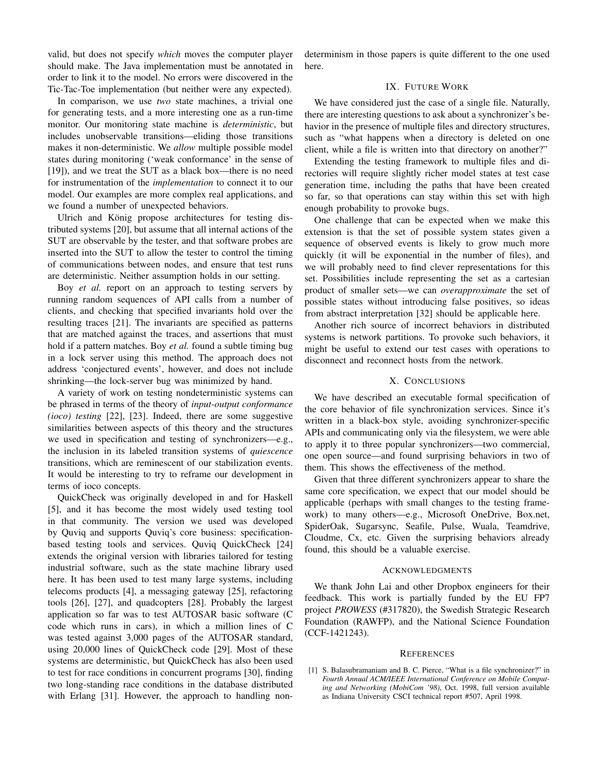valid, but does not specify *which* moves the computer player should make. The Java implementation must be annotated in order to link it to the model. No errors were discovered in the Tic-Tac-Toe implementation (but neither were any expected).

In comparison, we use *two* state machines, a trivial one for generating tests, and a more interesting one as a run-time monitor. Our monitoring state machine is *deterministic*, but includes unobservable transitions—eliding those transitions makes it non-deterministic. We *allow* multiple possible model states during monitoring ('weak conformance' in the sense of [\[19\]](#page-10-16)), and we treat the SUT as a black box—there is no need for instrumentation of the *implementation* to connect it to our model. Our examples are more complex real applications, and we found a number of unexpected behaviors.

Ulrich and König propose architectures for testing distributed systems [\[20\]](#page-10-17), but assume that all internal actions of the SUT are observable by the tester, and that software probes are inserted into the SUT to allow the tester to control the timing of communications between nodes, and ensure that test runs are deterministic. Neither assumption holds in our setting.

Boy *et al.* report on an approach to testing servers by running random sequences of API calls from a number of clients, and checking that specified invariants hold over the resulting traces [\[21\]](#page-10-18). The invariants are specified as patterns that are matched against the traces, and assertions that must hold if a pattern matches. Boy *et al.* found a subtle timing bug in a lock server using this method. The approach does not address 'conjectured events', however, and does not include shrinking—the lock-server bug was minimized by hand.

A variety of work on testing nondeterministic systems can be phrased in terms of the theory of *input-output conformance (ioco) testing* [\[22\]](#page-10-19), [\[23\]](#page-10-20). Indeed, there are some suggestive similarities between aspects of this theory and the structures we used in specification and testing of synchronizers—e.g., the inclusion in its labeled transition systems of *quiescence* transitions, which are reminescent of our stabilization events. It would be interesting to try to reframe our development in terms of ioco concepts.

QuickCheck was originally developed in and for Haskell [\[5\]](#page-10-2), and it has become the most widely used testing tool in that community. The version we used was developed by Quviq and supports Quviq's core business: specificationbased testing tools and services. Quviq QuickCheck [\[24\]](#page-10-21) extends the original version with libraries tailored for testing industrial software, such as the state machine library used here. It has been used to test many large systems, including telecoms products [\[4\]](#page-10-1), a messaging gateway [\[25\]](#page-10-22), refactoring tools [\[26\]](#page-10-23), [\[27\]](#page-10-24), and quadcopters [\[28\]](#page-10-25). Probably the largest application so far was to test AUTOSAR basic software (C code which runs in cars), in which a million lines of C was tested against 3,000 pages of the AUTOSAR standard, using 20,000 lines of QuickCheck code [\[29\]](#page-10-26). Most of these systems are deterministic, but QuickCheck has also been used to test for race conditions in concurrent programs [\[30\]](#page-10-27), finding two long-standing race conditions in the database distributed with Erlang [\[31\]](#page-10-28). However, the approach to handling non-

determinism in those papers is quite different to the one used here.

# IX. FUTURE WORK

<span id="page-9-1"></span>We have considered just the case of a single file. Naturally, there are interesting questions to ask about a synchronizer's behavior in the presence of multiple files and directory structures, such as "what happens when a directory is deleted on one client, while a file is written into that directory on another?"

Extending the testing framework to multiple files and directories will require slightly richer model states at test case generation time, including the paths that have been created so far, so that operations can stay within this set with high enough probability to provoke bugs.

One challenge that can be expected when we make this extension is that the set of possible system states given a sequence of observed events is likely to grow much more quickly (it will be exponential in the number of files), and we will probably need to find clever representations for this set. Possibilities include representing the set as a cartesian product of smaller sets—we can *overapproximate* the set of possible states without introducing false positives, so ideas from abstract interpretation [\[32\]](#page-10-29) should be applicable here.

Another rich source of incorrect behaviors in distributed systems is network partitions. To provoke such behaviors, it might be useful to extend our test cases with operations to disconnect and reconnect hosts from the network.

# X. CONCLUSIONS

<span id="page-9-2"></span>We have described an executable formal specification of the core behavior of file synchronization services. Since it's written in a black-box style, avoiding synchronizer-specific APIs and communicating only via the filesystem, we were able to apply it to three popular synchronizers—two commercial, one open source—and found surprising behaviors in two of them. This shows the effectiveness of the method.

Given that three different synchronizers appear to share the same core specification, we expect that our model should be applicable (perhaps with small changes to the testing framework) to many others—e.g., Microsoft OneDrive, Box.net, SpiderOak, Sugarsync, Seafile, Pulse, Wuala, Teamdrive, Cloudme, Cx, etc. Given the surprising behaviors already found, this should be a valuable exercise.

# ACKNOWLEDGMENTS

We thank John Lai and other Dropbox engineers for their feedback. This work is partially funded by the EU FP7 project *PROWESS* (#317820), the Swedish Strategic Research Foundation (RAWFP), and the National Science Foundation (CCF-1421243).

#### **REFERENCES**

<span id="page-9-0"></span>[1] S. Balasubramaniam and B. C. Pierce, "What is a file synchronizer?" in *Fourth Annual ACM/IEEE International Conference on Mobile Computing and Networking (MobiCom '98)*, Oct. 1998, full version available as Indiana University CSCI technical report #507, April 1998.